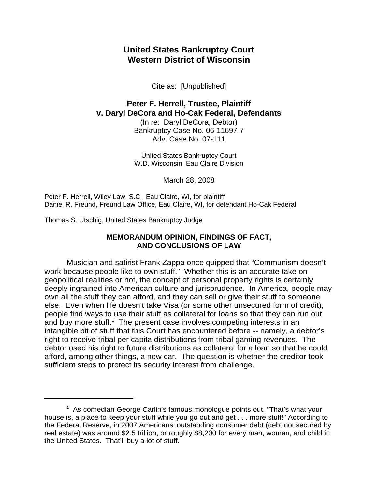## **United States Bankruptcy Court Western District of Wisconsin**

Cite as: [Unpublished]

# **Peter F. Herrell, Trustee, Plaintiff v. Daryl DeCora and Ho-Cak Federal, Defendants**

(In re: Daryl DeCora, Debtor) Bankruptcy Case No. 06-11697-7 Adv. Case No. 07-111

United States Bankruptcy Court W.D. Wisconsin, Eau Claire Division

March 28, 2008

Peter F. Herrell, Wiley Law, S.C., Eau Claire, WI, for plaintiff Daniel R. Freund, Freund Law Office, Eau Claire, WI, for defendant Ho-Cak Federal

Thomas S. Utschig, United States Bankruptcy Judge

## **MEMORANDUM OPINION, FINDINGS OF FACT, AND CONCLUSIONS OF LAW**

Musician and satirist Frank Zappa once quipped that "Communism doesn't work because people like to own stuff." Whether this is an accurate take on geopolitical realities or not, the concept of personal property rights is certainly deeply ingrained into American culture and jurisprudence. In America, people may own all the stuff they can afford, and they can sell or give their stuff to someone else. Even when life doesn't take Visa (or some other unsecured form of credit), people find ways to use their stuff as collateral for loans so that they can run out and buy more stuff. $1$  The present case involves competing interests in an intangible bit of stuff that this Court has encountered before -- namely, a debtor's right to receive tribal per capita distributions from tribal gaming revenues. The debtor used his right to future distributions as collateral for a loan so that he could afford, among other things, a new car. The question is whether the creditor took sufficient steps to protect its security interest from challenge.

<sup>&</sup>lt;sup>1</sup> As comedian George Carlin's famous monologue points out, "That's what your house is, a place to keep your stuff while you go out and get . . . more stuff!" According to the Federal Reserve, in 2007 Americans' outstanding consumer debt (debt not secured by real estate) was around \$2.5 trillion, or roughly \$8,200 for every man, woman, and child in the United States. That'll buy a lot of stuff.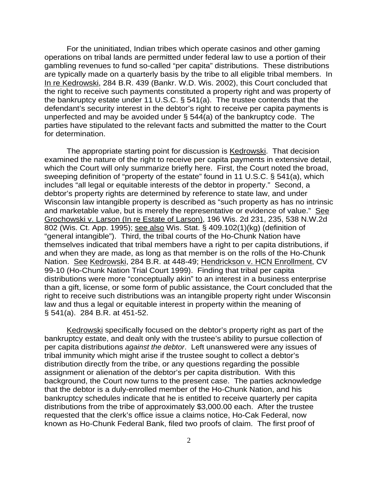For the uninitiated, Indian tribes which operate casinos and other gaming operations on tribal lands are permitted under federal law to use a portion of their gambling revenues to fund so-called "per capita" distributions. These distributions are typically made on a quarterly basis by the tribe to all eligible tribal members. In In re Kedrowski, 284 B.R. 439 (Bankr. W.D. Wis. 2002), this Court concluded that the right to receive such payments constituted a property right and was property of the bankruptcy estate under 11 U.S.C. § 541(a). The trustee contends that the defendant's security interest in the debtor's right to receive per capita payments is unperfected and may be avoided under § 544(a) of the bankruptcy code. The parties have stipulated to the relevant facts and submitted the matter to the Court for determination.

The appropriate starting point for discussion is Kedrowski. That decision examined the nature of the right to receive per capita payments in extensive detail, which the Court will only summarize briefly here. First, the Court noted the broad, sweeping definition of "property of the estate" found in 11 U.S.C. § 541(a), which includes "all legal or equitable interests of the debtor in property." Second, a debtor's property rights are determined by reference to state law, and under Wisconsin law intangible property is described as "such property as has no intrinsic and marketable value, but is merely the representative or evidence of value." See Grochowski v. Larson (In re Estate of Larson), 196 Wis. 2d 231, 235, 538 N.W.2d 802 (Wis. Ct. App. 1995); see also Wis. Stat. § 409.102(1)(kg) (definition of "general intangible"). Third, the tribal courts of the Ho-Chunk Nation have themselves indicated that tribal members have a right to per capita distributions, if and when they are made, as long as that member is on the rolls of the Ho-Chunk Nation. See Kedrowski, 284 B.R. at 448-49; Hendrickson v. HCN Enrollment, CV 99-10 (Ho-Chunk Nation Trial Court 1999). Finding that tribal per capita distributions were more "conceptually akin" to an interest in a business enterprise than a gift, license, or some form of public assistance, the Court concluded that the right to receive such distributions was an intangible property right under Wisconsin law and thus a legal or equitable interest in property within the meaning of § 541(a). 284 B.R. at 451-52.

Kedrowski specifically focused on the debtor's property right as part of the bankruptcy estate, and dealt only with the trustee's ability to pursue collection of per capita distributions *against the debtor*. Left unanswered were any issues of tribal immunity which might arise if the trustee sought to collect a debtor's distribution directly from the tribe, or any questions regarding the possible assignment or alienation of the debtor's per capita distribution. With this background, the Court now turns to the present case. The parties acknowledge that the debtor is a duly-enrolled member of the Ho-Chunk Nation, and his bankruptcy schedules indicate that he is entitled to receive quarterly per capita distributions from the tribe of approximately \$3,000.00 each. After the trustee requested that the clerk's office issue a claims notice, Ho-Cak Federal, now known as Ho-Chunk Federal Bank, filed two proofs of claim. The first proof of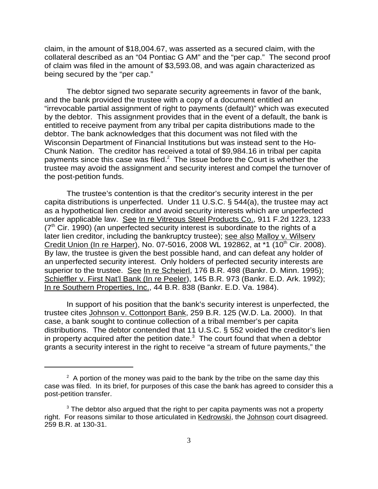claim, in the amount of \$18,004.67, was asserted as a secured claim, with the collateral described as an "04 Pontiac G AM" and the "per cap." The second proof of claim was filed in the amount of \$3,593.08, and was again characterized as being secured by the "per cap."

The debtor signed two separate security agreements in favor of the bank, and the bank provided the trustee with a copy of a document entitled an "irrevocable partial assignment of right to payments (default)" which was executed by the debtor. This assignment provides that in the event of a default, the bank is entitled to receive payment from any tribal per capita distributions made to the debtor. The bank acknowledges that this document was not filed with the Wisconsin Department of Financial Institutions but was instead sent to the Ho-Chunk Nation. The creditor has received a total of \$9,984.16 in tribal per capita payments since this case was filed. $2$  The issue before the Court is whether the trustee may avoid the assignment and security interest and compel the turnover of the post-petition funds.

The trustee's contention is that the creditor's security interest in the per capita distributions is unperfected. Under 11 U.S.C. § 544(a), the trustee may act as a hypothetical lien creditor and avoid security interests which are unperfected under applicable law. See In re Vitreous Steel Products Co., 911 F.2d 1223, 1233  $(7<sup>th</sup>$  Cir. 1990) (an unperfected security interest is subordinate to the rights of a later lien creditor, including the bankruptcy trustee); see also Malloy v. Wilserv Credit Union (In re Harper), No. 07-5016, 2008 WL 192862, at \*1 (10<sup>th</sup> Cir. 2008). By law, the trustee is given the best possible hand, and can defeat any holder of an unperfected security interest. Only holders of perfected security interests are superior to the trustee. See In re Scheierl, 176 B.R. 498 (Bankr. D. Minn. 1995); Schieffler v. First Nat'l Bank (In re Peeler), 145 B.R. 973 (Bankr. E.D. Ark. 1992); In re Southern Properties, Inc., 44 B.R. 838 (Bankr. E.D. Va. 1984).

In support of his position that the bank's security interest is unperfected, the trustee cites Johnson v. Cottonport Bank, 259 B.R. 125 (W.D. La. 2000). In that case, a bank sought to continue collection of a tribal member's per capita distributions. The debtor contended that 11 U.S.C. § 552 voided the creditor's lien in property acquired after the petition date. $3$  The court found that when a debtor grants a security interest in the right to receive "a stream of future payments," the

 $2$  A portion of the money was paid to the bank by the tribe on the same day this case was filed. In its brief, for purposes of this case the bank has agreed to consider this a post-petition transfer.

 $3$  The debtor also argued that the right to per capita payments was not a property right. For reasons similar to those articulated in Kedrowski, the Johnson court disagreed. 259 B.R. at 130-31.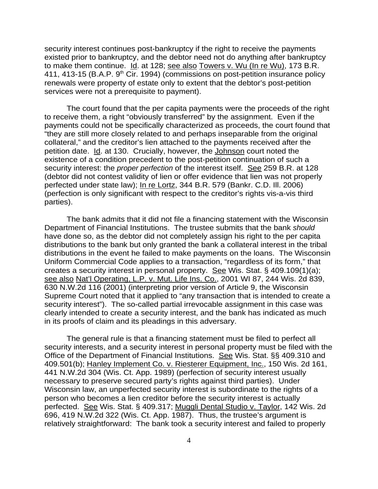security interest continues post-bankruptcy if the right to receive the payments existed prior to bankruptcy, and the debtor need not do anything after bankruptcy to make them continue. Id. at 128; see also Towers v. Wu (In re Wu), 173 B.R. 411, 413-15 (B.A.P. 9<sup>th</sup> Cir. 1994) (commissions on post-petition insurance policy renewals were property of estate only to extent that the debtor's post-petition services were not a prerequisite to payment).

The court found that the per capita payments were the proceeds of the right to receive them, a right "obviously transferred" by the assignment. Even if the payments could not be specifically characterized as proceeds, the court found that "they are still more closely related to and perhaps inseparable from the original collateral," and the creditor's lien attached to the payments received after the petition date. Id. at 130. Crucially, however, the Johnson court noted the existence of a condition precedent to the post-petition continuation of such a security interest: the *proper perfection* of the interest itself. See 259 B.R. at 128 (debtor did not contest validity of lien or offer evidence that lien was not properly perfected under state law); In re Lortz, 344 B.R. 579 (Bankr. C.D. Ill. 2006) (perfection is only significant with respect to the creditor's rights vis-a-vis third parties).

The bank admits that it did not file a financing statement with the Wisconsin Department of Financial Institutions. The trustee submits that the bank *should* have done so, as the debtor did not completely assign his right to the per capita distributions to the bank but only granted the bank a collateral interest in the tribal distributions in the event he failed to make payments on the loans. The Wisconsin Uniform Commercial Code applies to a transaction, "regardless of its form," that creates a security interest in personal property. See Wis. Stat. § 409.109(1)(a); see also Nat'l Operating, L.P. v. Mut. Life Ins. Co., 2001 WI 87, 244 Wis. 2d 839, 630 N.W.2d 116 (2001) (interpreting prior version of Article 9, the Wisconsin Supreme Court noted that it applied to "any transaction that is intended to create a security interest"). The so-called partial irrevocable assignment in this case was clearly intended to create a security interest, and the bank has indicated as much in its proofs of claim and its pleadings in this adversary.

The general rule is that a financing statement must be filed to perfect all security interests, and a security interest in personal property must be filed with the Office of the Department of Financial Institutions. See Wis. Stat. §§ 409.310 and 409.501(b); Hanley Implement Co. v. Riesterer Equipment, Inc., 150 Wis. 2d 161, 441 N.W.2d 304 (Wis. Ct. App. 1989) (perfection of security interest usually necessary to preserve secured party's rights against third parties). Under Wisconsin law, an unperfected security interest is subordinate to the rights of a person who becomes a lien creditor before the security interest is actually perfected. See Wis. Stat. § 409.317; Muggli Dental Studio v. Taylor, 142 Wis. 2d 696, 419 N.W.2d 322 (Wis. Ct. App. 1987). Thus, the trustee's argument is relatively straightforward: The bank took a security interest and failed to properly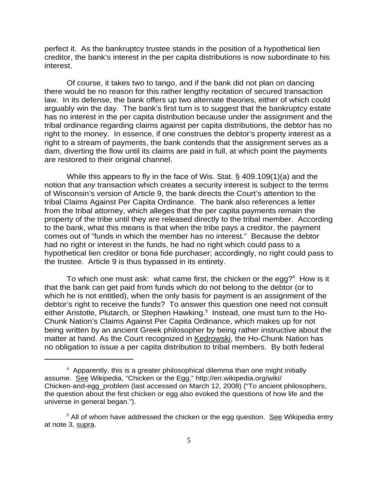perfect it. As the bankruptcy trustee stands in the position of a hypothetical lien creditor, the bank's interest in the per capita distributions is now subordinate to his interest.

Of course, it takes two to tango, and if the bank did not plan on dancing there would be no reason for this rather lengthy recitation of secured transaction law. In its defense, the bank offers up two alternate theories, either of which could arguably win the day. The bank's first turn is to suggest that the bankruptcy estate has no interest in the per capita distribution because under the assignment and the tribal ordinance regarding claims against per capita distributions, the debtor has no right to the money. In essence, if one construes the debtor's property interest as a right to a stream of payments, the bank contends that the assignment serves as a dam, diverting the flow until its claims are paid in full, at which point the payments are restored to their original channel.

While this appears to fly in the face of Wis. Stat. § 409.109(1)(a) and the notion that *any* transaction which creates a security interest is subject to the terms of Wisconsin's version of Article 9, the bank directs the Court's attention to the tribal Claims Against Per Capita Ordinance. The bank also references a letter from the tribal attorney, which alleges that the per capita payments remain the property of the tribe until they are released directly to the tribal member. According to the bank, what this means is that when the tribe pays a creditor, the payment comes out of "funds in which the member has no interest." Because the debtor had no right or interest in the funds, he had no right which could pass to a hypothetical lien creditor or bona fide purchaser; accordingly, no right could pass to the trustee. Article 9 is thus bypassed in its entirety.

To which one must ask: what came first, the chicken or the egg?<sup>4</sup> How is it that the bank can get paid from funds which do not belong to the debtor (or to which he is not entitled), when the only basis for payment is an assignment of the debtor's right to receive the funds? To answer this question one need not consult either Aristotle, Plutarch, or Stephen Hawking.<sup>5</sup> Instead, one must turn to the Ho-Chunk Nation's Claims Against Per Capita Ordinance, which makes up for not being written by an ancient Greek philosopher by being rather instructive about the matter at hand. As the Court recognized in Kedrowski, the Ho-Chunk Nation has no obligation to issue a per capita distribution to tribal members. By both federal

<sup>&</sup>lt;sup>4</sup> Apparently, this is a greater philosophical dilemma than one might initially assume. See Wikipedia, "Chicken or the Egg," http://en.wikipedia.org/wiki/ Chicken-and-egg\_problem (last accessed on March 12, 2008) ("To ancient philosophers, the question about the first chicken or egg also evoked the questions of how life and the universe in general began.").

<sup>&</sup>lt;sup>5</sup> All of whom have addressed the chicken or the egg question. See Wikipedia entry at note 3, supra.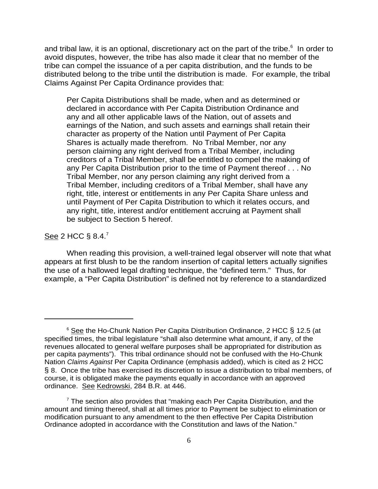and tribal law, it is an optional, discretionary act on the part of the tribe. $^6$  In order to avoid disputes, however, the tribe has also made it clear that no member of the tribe can compel the issuance of a per capita distribution, and the funds to be distributed belong to the tribe until the distribution is made. For example, the tribal Claims Against Per Capita Ordinance provides that:

Per Capita Distributions shall be made, when and as determined or declared in accordance with Per Capita Distribution Ordinance and any and all other applicable laws of the Nation, out of assets and earnings of the Nation, and such assets and earnings shall retain their character as property of the Nation until Payment of Per Capita Shares is actually made therefrom. No Tribal Member, nor any person claiming any right derived from a Tribal Member, including creditors of a Tribal Member, shall be entitled to compel the making of any Per Capita Distribution prior to the time of Payment thereof . . . No Tribal Member, nor any person claiming any right derived from a Tribal Member, including creditors of a Tribal Member, shall have any right, title, interest or entitlements in any Per Capita Share unless and until Payment of Per Capita Distribution to which it relates occurs, and any right, title, interest and/or entitlement accruing at Payment shall be subject to Section 5 hereof.

### See 2 HCC § 8.4.<sup>7</sup>

When reading this provision, a well-trained legal observer will note that what appears at first blush to be the random insertion of capital letters actually signifies the use of a hallowed legal drafting technique, the "defined term." Thus, for example, a "Per Capita Distribution" is defined not by reference to a standardized

<sup>&</sup>lt;sup>6</sup> See the Ho-Chunk Nation Per Capita Distribution Ordinance, 2 HCC § 12.5 (at specified times, the tribal legislature "shall also determine what amount, if any, of the revenues allocated to general welfare purposes shall be appropriated for distribution as per capita payments"). This tribal ordinance should not be confused with the Ho-Chunk Nation *Claims Against* Per Capita Ordinance (emphasis added), which is cited as 2 HCC § 8. Once the tribe has exercised its discretion to issue a distribution to tribal members, of course, it is obligated make the payments equally in accordance with an approved ordinance. See Kedrowski, 284 B.R. at 446.

 $7$  The section also provides that "making each Per Capita Distribution, and the amount and timing thereof, shall at all times prior to Payment be subject to elimination or modification pursuant to any amendment to the then effective Per Capita Distribution Ordinance adopted in accordance with the Constitution and laws of the Nation."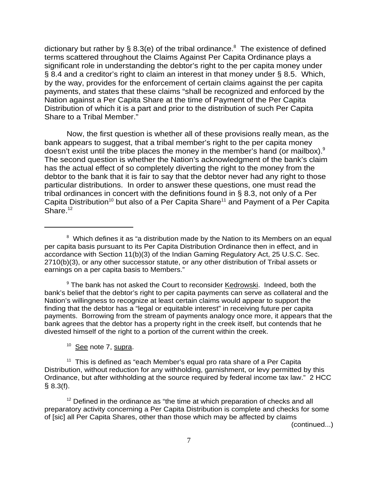dictionary but rather by § 8.3(e) of the tribal ordinance.<sup>8</sup> The existence of defined terms scattered throughout the Claims Against Per Capita Ordinance plays a significant role in understanding the debtor's right to the per capita money under § 8.4 and a creditor's right to claim an interest in that money under § 8.5. Which, by the way, provides for the enforcement of certain claims against the per capita payments, and states that these claims "shall be recognized and enforced by the Nation against a Per Capita Share at the time of Payment of the Per Capita Distribution of which it is a part and prior to the distribution of such Per Capita Share to a Tribal Member."

Now, the first question is whether all of these provisions really mean, as the bank appears to suggest, that a tribal member's right to the per capita money doesn't exist until the tribe places the money in the member's hand (or mailbox). $9$ The second question is whether the Nation's acknowledgment of the bank's claim has the actual effect of so completely diverting the right to the money from the debtor to the bank that it is fair to say that the debtor never had any right to those particular distributions. In order to answer these questions, one must read the tribal ordinances in concert with the definitions found in § 8.3, not only of a Per Capita Distribution<sup>10</sup> but also of a Per Capita Share<sup>11</sup> and Payment of a Per Capita Share. $12$ 

<sup>9</sup> The bank has not asked the Court to reconsider Kedrowski. Indeed, both the bank's belief that the debtor's right to per capita payments can serve as collateral and the Nation's willingness to recognize at least certain claims would appear to support the finding that the debtor has a "legal or equitable interest" in receiving future per capita payments. Borrowing from the stream of payments analogy once more, it appears that the bank agrees that the debtor has a property right in the creek itself, but contends that he divested himself of the right to a portion of the current within the creek.

 $10$  See note 7, supra.

 $11$  This is defined as "each Member's equal pro rata share of a Per Capita Distribution, without reduction for any withholding, garnishment, or levy permitted by this Ordinance, but after withholding at the source required by federal income tax law." 2 HCC  $§ 8.3(f).$ 

 $12$  Defined in the ordinance as "the time at which preparation of checks and all preparatory activity concerning a Per Capita Distribution is complete and checks for some of [sic] all Per Capita Shares, other than those which may be affected by claims

(continued...)

<sup>&</sup>lt;sup>8</sup> Which defines it as "a distribution made by the Nation to its Members on an equal per capita basis pursuant to its Per Capita Distribution Ordinance then in effect, and in accordance with Section 11(b)(3) of the Indian Gaming Regulatory Act, 25 U.S.C. Sec. 2710(b)(3), or any other successor statute, or any other distribution of Tribal assets or earnings on a per capita basis to Members."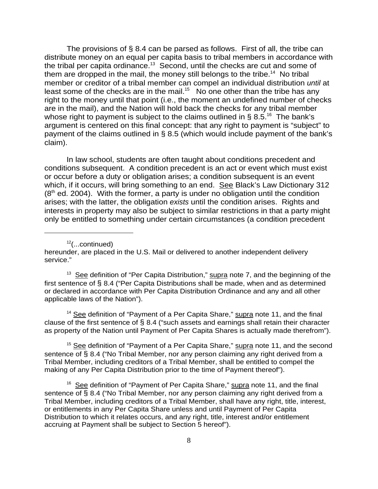The provisions of  $\S$  8.4 can be parsed as follows. First of all, the tribe can distribute money on an equal per capita basis to tribal members in accordance with the tribal per capita ordinance.<sup>13</sup> Second, until the checks are cut and some of them are dropped in the mail, the money still belongs to the tribe.<sup>14</sup> No tribal member or creditor of a tribal member can compel an individual distribution *until* at least some of the checks are in the mail.<sup>15</sup> No one other than the tribe has any right to the money until that point (i.e., the moment an undefined number of checks are in the mail), and the Nation will hold back the checks for any tribal member whose right to payment is subject to the claims outlined in § 8.5.<sup>16</sup> The bank's argument is centered on this final concept: that any right to payment is "subject" to payment of the claims outlined in § 8.5 (which would include payment of the bank's claim).

In law school, students are often taught about conditions precedent and conditions subsequent. A condition precedent is an act or event which must exist or occur before a duty or obligation arises; a condition subsequent is an event which, if it occurs, will bring something to an end. See Black's Law Dictionary 312  $(8<sup>th</sup>$  ed. 2004). With the former, a party is under no obligation until the condition arises; with the latter, the obligation *exists* until the condition arises. Rights and interests in property may also be subject to similar restrictions in that a party might only be entitled to something under certain circumstances (a condition precedent

 $12$ (...continued)

hereunder, are placed in the U.S. Mail or delivered to another independent delivery service."

 $13$  See definition of "Per Capita Distribution," supra note 7, and the beginning of the first sentence of § 8.4 ("Per Capita Distributions shall be made, when and as determined or declared in accordance with Per Capita Distribution Ordinance and any and all other applicable laws of the Nation").

 $14$  See definition of "Payment of a Per Capita Share," supra note 11, and the final clause of the first sentence of § 8.4 ("such assets and earnings shall retain their character as property of the Nation until Payment of Per Capita Shares is actually made therefrom").

<sup>15</sup> See definition of "Payment of a Per Capita Share," supra note 11, and the second sentence of § 8.4 ("No Tribal Member, nor any person claiming any right derived from a Tribal Member, including creditors of a Tribal Member, shall be entitled to compel the making of any Per Capita Distribution prior to the time of Payment thereof").

<sup>16</sup> See definition of "Payment of Per Capita Share," supra note 11, and the final sentence of § 8.4 ("No Tribal Member, nor any person claiming any right derived from a Tribal Member, including creditors of a Tribal Member, shall have any right, title, interest, or entitlements in any Per Capita Share unless and until Payment of Per Capita Distribution to which it relates occurs, and any right, title, interest and/or entitlement accruing at Payment shall be subject to Section 5 hereof").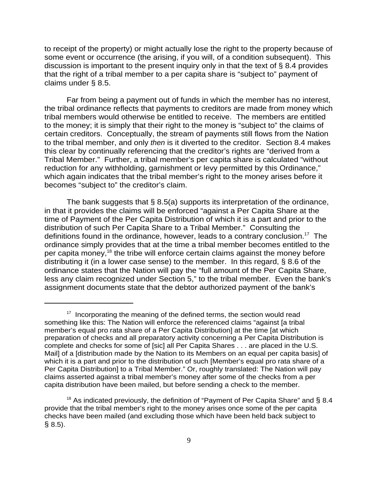to receipt of the property) or might actually lose the right to the property because of some event or occurrence (the arising, if you will, of a condition subsequent). This discussion is important to the present inquiry only in that the text of § 8.4 provides that the right of a tribal member to a per capita share is "subject to" payment of claims under § 8.5.

Far from being a payment out of funds in which the member has no interest, the tribal ordinance reflects that payments to creditors are made from money which tribal members would otherwise be entitled to receive. The members are entitled to the money; it is simply that their right to the money is "subject to" the claims of certain creditors. Conceptually, the stream of payments still flows from the Nation to the tribal member, and only *then* is it diverted to the creditor. Section 8.4 makes this clear by continually referencing that the creditor's rights are "derived from a Tribal Member." Further, a tribal member's per capita share is calculated "without reduction for any withholding, garnishment or levy permitted by this Ordinance," which again indicates that the tribal member's right to the money arises before it becomes "subject to" the creditor's claim.

The bank suggests that § 8.5(a) supports its interpretation of the ordinance, in that it provides the claims will be enforced "against a Per Capita Share at the time of Payment of the Per Capita Distribution of which it is a part and prior to the distribution of such Per Capita Share to a Tribal Member." Consulting the definitions found in the ordinance, however, leads to a contrary conclusion.<sup>17</sup> The ordinance simply provides that at the time a tribal member becomes entitled to the per capita money,<sup>18</sup> the tribe will enforce certain claims against the money before distributing it (in a lower case sense) to the member. In this regard, § 8.6 of the ordinance states that the Nation will pay the "full amount of the Per Capita Share, less any claim recognized under Section 5," to the tribal member. Even the bank's assignment documents state that the debtor authorized payment of the bank's

 $17$  Incorporating the meaning of the defined terms, the section would read something like this: The Nation will enforce the referenced claims "against [a tribal member's equal pro rata share of a Per Capita Distribution] at the time [at which preparation of checks and all preparatory activity concerning a Per Capita Distribution is complete and checks for some of [sic] all Per Capita Shares . . . are placed in the U.S. Mail] of a [distribution made by the Nation to its Members on an equal per capita basis] of which it is a part and prior to the distribution of such [Member's equal pro rata share of a Per Capita Distribution] to a Tribal Member." Or, roughly translated: The Nation will pay claims asserted against a tribal member's money after some of the checks from a per capita distribution have been mailed, but before sending a check to the member.

<sup>&</sup>lt;sup>18</sup> As indicated previously, the definition of "Payment of Per Capita Share" and § 8.4 provide that the tribal member's right to the money arises once some of the per capita checks have been mailed (and excluding those which have been held back subject to § 8.5).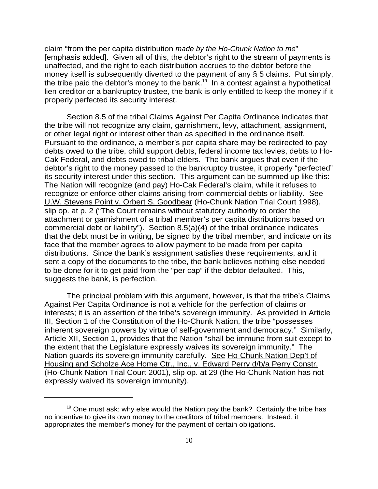claim "from the per capita distribution *made by the Ho-Chunk Nation to me*" [emphasis added]. Given all of this, the debtor's right to the stream of payments is unaffected, and the right to each distribution accrues to the debtor before the money itself is subsequently diverted to the payment of any § 5 claims. Put simply, the tribe paid the debtor's money to the bank.<sup>19</sup> In a contest against a hypothetical lien creditor or a bankruptcy trustee, the bank is only entitled to keep the money if it properly perfected its security interest.

Section 8.5 of the tribal Claims Against Per Capita Ordinance indicates that the tribe will not recognize any claim, garnishment, levy, attachment, assignment, or other legal right or interest other than as specified in the ordinance itself. Pursuant to the ordinance, a member's per capita share may be redirected to pay debts owed to the tribe, child support debts, federal income tax levies, debts to Ho-Cak Federal, and debts owed to tribal elders. The bank argues that even if the debtor's right to the money passed to the bankruptcy trustee, it properly "perfected" its security interest under this section. This argument can be summed up like this: The Nation will recognize (and pay) Ho-Cak Federal's claim, while it refuses to recognize or enforce other claims arising from commercial debts or liability. See U.W. Stevens Point v. Orbert S. Goodbear (Ho-Chunk Nation Trial Court 1998), slip op. at p. 2 ("The Court remains without statutory authority to order the attachment or garnishment of a tribal member's per capita distributions based on commercial debt or liability"). Section 8.5(a)(4) of the tribal ordinance indicates that the debt must be in writing, be signed by the tribal member, and indicate on its face that the member agrees to allow payment to be made from per capita distributions. Since the bank's assignment satisfies these requirements, and it sent a copy of the documents to the tribe, the bank believes nothing else needed to be done for it to get paid from the "per cap" if the debtor defaulted. This, suggests the bank, is perfection.

The principal problem with this argument, however, is that the tribe's Claims Against Per Capita Ordinance is not a vehicle for the perfection of claims or interests; it is an assertion of the tribe's sovereign immunity. As provided in Article III, Section 1 of the Constitution of the Ho-Chunk Nation, the tribe "possesses inherent sovereign powers by virtue of self-government and democracy." Similarly, Article XII, Section 1, provides that the Nation "shall be immune from suit except to the extent that the Legislature expressly waives its sovereign immunity." The Nation guards its sovereign immunity carefully. See Ho-Chunk Nation Dep't of Housing and Scholze Ace Home Ctr., Inc., v. Edward Perry d/b/a Perry Constr. (Ho-Chunk Nation Trial Court 2001), slip op. at 29 (the Ho-Chunk Nation has not expressly waived its sovereign immunity).

 $19$  One must ask: why else would the Nation pay the bank? Certainly the tribe has no incentive to give its own money to the creditors of tribal members. Instead, it appropriates the member's money for the payment of certain obligations.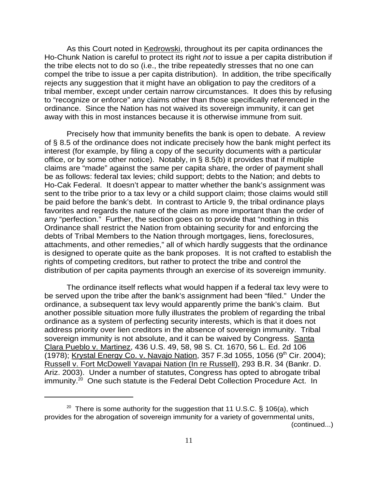As this Court noted in Kedrowski, throughout its per capita ordinances the Ho-Chunk Nation is careful to protect its right *not* to issue a per capita distribution if the tribe elects not to do so (i.e., the tribe repeatedly stresses that no one can compel the tribe to issue a per capita distribution). In addition, the tribe specifically rejects any suggestion that it might have an obligation to pay the creditors of a tribal member, except under certain narrow circumstances. It does this by refusing to "recognize or enforce" any claims other than those specifically referenced in the ordinance. Since the Nation has not waived its sovereign immunity, it can get away with this in most instances because it is otherwise immune from suit.

Precisely how that immunity benefits the bank is open to debate. A review of § 8.5 of the ordinance does not indicate precisely how the bank might perfect its interest (for example, by filing a copy of the security documents with a particular office, or by some other notice). Notably, in § 8.5(b) it provides that if multiple claims are "made" against the same per capita share, the order of payment shall be as follows: federal tax levies; child support; debts to the Nation; and debts to Ho-Cak Federal. It doesn't appear to matter whether the bank's assignment was sent to the tribe prior to a tax levy or a child support claim; those claims would still be paid before the bank's debt. In contrast to Article 9, the tribal ordinance plays favorites and regards the nature of the claim as more important than the order of any "perfection." Further, the section goes on to provide that "nothing in this Ordinance shall restrict the Nation from obtaining security for and enforcing the debts of Tribal Members to the Nation through mortgages, liens, foreclosures, attachments, and other remedies," all of which hardly suggests that the ordinance is designed to operate quite as the bank proposes. It is not crafted to establish the rights of competing creditors, but rather to protect the tribe and control the distribution of per capita payments through an exercise of its sovereign immunity.

The ordinance itself reflects what would happen if a federal tax levy were to be served upon the tribe after the bank's assignment had been "filed." Under the ordinance, a subsequent tax levy would apparently prime the bank's claim. But another possible situation more fully illustrates the problem of regarding the tribal ordinance as a system of perfecting security interests, which is that it does not address priority over lien creditors in the absence of sovereign immunity. Tribal sovereign immunity is not absolute, and it can be waived by Congress. Santa Clara Pueblo v. Martinez, 436 U.S. 49, 58, 98 S. Ct. 1670, 56 L. Ed. 2d 106  $(1978)$ ; Krystal Energy Co. v. Navajo Nation, 357 F.3d 1055, 1056 (9<sup>th</sup> Cir. 2004); Russell v. Fort McDowell Yavapai Nation (In re Russell), 293 B.R. 34 (Bankr. D. Ariz. 2003). Under a number of statutes, Congress has opted to abrogate tribal  $i$ mmunity.<sup>20</sup> One such statute is the Federal Debt Collection Procedure Act. In

<sup>&</sup>lt;sup>20</sup> There is some authority for the suggestion that 11 U.S.C. § 106(a), which provides for the abrogation of sovereign immunity for a variety of governmental units, (continued...)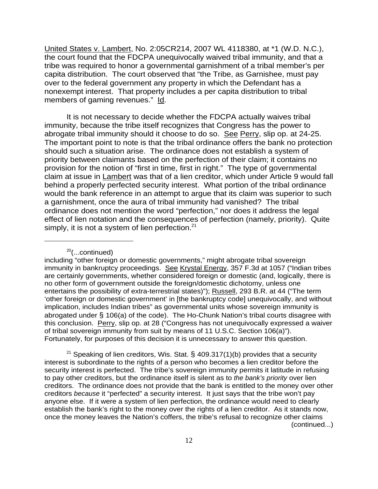United States v. Lambert, No. 2:05CR214, 2007 WL 4118380, at \*1 (W.D. N.C.), the court found that the FDCPA unequivocally waived tribal immunity, and that a tribe was required to honor a governmental garnishment of a tribal member's per capita distribution. The court observed that "the Tribe, as Garnishee, must pay over to the federal government any property in which the Defendant has a nonexempt interest. That property includes a per capita distribution to tribal members of gaming revenues." Id.

It is not necessary to decide whether the FDCPA actually waives tribal immunity, because the tribe itself recognizes that Congress has the power to abrogate tribal immunity should it choose to do so. See Perry, slip op. at 24-25. The important point to note is that the tribal ordinance offers the bank no protection should such a situation arise. The ordinance does not establish a system of priority between claimants based on the perfection of their claim; it contains no provision for the notion of "first in time, first in right." The type of governmental claim at issue in Lambert was that of a lien creditor, which under Article 9 would fall behind a properly perfected security interest. What portion of the tribal ordinance would the bank reference in an attempt to argue that its claim was superior to such a garnishment, once the aura of tribal immunity had vanished? The tribal ordinance does not mention the word "perfection," nor does it address the legal effect of lien notation and the consequences of perfection (namely, priority). Quite simply, it is not a system of lien perfection. $21$ 

### 20(...continued)

including "other foreign or domestic governments," might abrogate tribal sovereign immunity in bankruptcy proceedings. See Krystal Energy, 357 F.3d at 1057 ("Indian tribes are certainly governments, whether considered foreign or domestic (and, logically, there is no other form of government outside the foreign/domestic dichotomy, unless one entertains the possibility of extra-terrestrial states)"); Russell, 293 B.R. at 44 ("The term 'other foreign or domestic government' in [the bankruptcy code] unequivocally, and without implication, includes Indian tribes" as governmental units whose sovereign immunity is abrogated under § 106(a) of the code). The Ho-Chunk Nation's tribal courts disagree with this conclusion. Perry, slip op. at 28 ("Congress has not unequivocally expressed a waiver of tribal sovereign immunity from suit by means of 11 U.S.C. Section 106(a)"). Fortunately, for purposes of this decision it is unnecessary to answer this question.

<sup>21</sup> Speaking of lien creditors, Wis. Stat. § 409.317(1)(b) provides that a security interest is subordinate to the rights of a person who becomes a lien creditor before the security interest is perfected. The tribe's sovereign immunity permits it latitude in refusing to pay other creditors, but the ordinance itself is silent as to *the bank's priority* over lien creditors. The ordinance does not provide that the bank is entitled to the money over other creditors *because* it "perfected" a security interest. It just says that the tribe won't pay anyone else. If it were a system of lien perfection, the ordinance would need to clearly establish the bank's right to the money over the rights of a lien creditor. As it stands now, once the money leaves the Nation's coffers, the tribe's refusal to recognize other claims (continued...)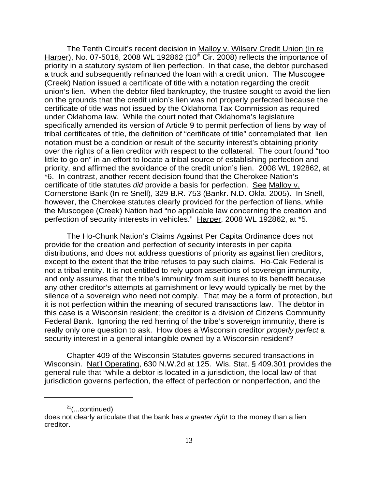The Tenth Circuit's recent decision in Malloy v. Wilserv Credit Union (In re Harper), No. 07-5016, 2008 WL 192862 (10<sup>th</sup> Cir. 2008) reflects the importance of priority in a statutory system of lien perfection. In that case, the debtor purchased a truck and subsequently refinanced the loan with a credit union. The Muscogee (Creek) Nation issued a certificate of title with a notation regarding the credit union's lien. When the debtor filed bankruptcy, the trustee sought to avoid the lien on the grounds that the credit union's lien was not properly perfected because the certificate of title was not issued by the Oklahoma Tax Commission as required under Oklahoma law. While the court noted that Oklahoma's legislature specifically amended its version of Article 9 to permit perfection of liens by way of tribal certificates of title, the definition of "certificate of title" contemplated that lien notation must be a condition or result of the security interest's obtaining priority over the rights of a lien creditor with respect to the collateral. The court found "too little to go on" in an effort to locate a tribal source of establishing perfection and priority, and affirmed the avoidance of the credit union's lien. 2008 WL 192862, at \*6. In contrast, another recent decision found that the Cherokee Nation's certificate of title statutes *did* provide a basis for perfection. See Malloy v. Cornerstone Bank (In re Snell), 329 B.R. 753 (Bankr. N.D. Okla. 2005). In Snell, however, the Cherokee statutes clearly provided for the perfection of liens, while the Muscogee (Creek) Nation had "no applicable law concerning the creation and perfection of security interests in vehicles." Harper, 2008 WL 192862, at \*5.

 The Ho-Chunk Nation's Claims Against Per Capita Ordinance does not provide for the creation and perfection of security interests in per capita distributions, and does not address questions of priority as against lien creditors, except to the extent that the tribe refuses to pay such claims. Ho-Cak Federal is not a tribal entity. It is not entitled to rely upon assertions of sovereign immunity, and only assumes that the tribe's immunity from suit inures to its benefit because any other creditor's attempts at garnishment or levy would typically be met by the silence of a sovereign who need not comply. That may be a form of protection, but it is not perfection within the meaning of secured transactions law. The debtor in this case is a Wisconsin resident; the creditor is a division of Citizens Community Federal Bank. Ignoring the red herring of the tribe's sovereign immunity, there is really only one question to ask. How does a Wisconsin creditor *properly perfect* a security interest in a general intangible owned by a Wisconsin resident?

Chapter 409 of the Wisconsin Statutes governs secured transactions in Wisconsin. Nat'l Operating, 630 N.W.2d at 125. Wis. Stat. § 409.301 provides the general rule that "while a debtor is located in a jurisdiction, the local law of that jurisdiction governs perfection, the effect of perfection or nonperfection, and the

 $21$ (...continued)

does not clearly articulate that the bank has *a greater right* to the money than a lien creditor.